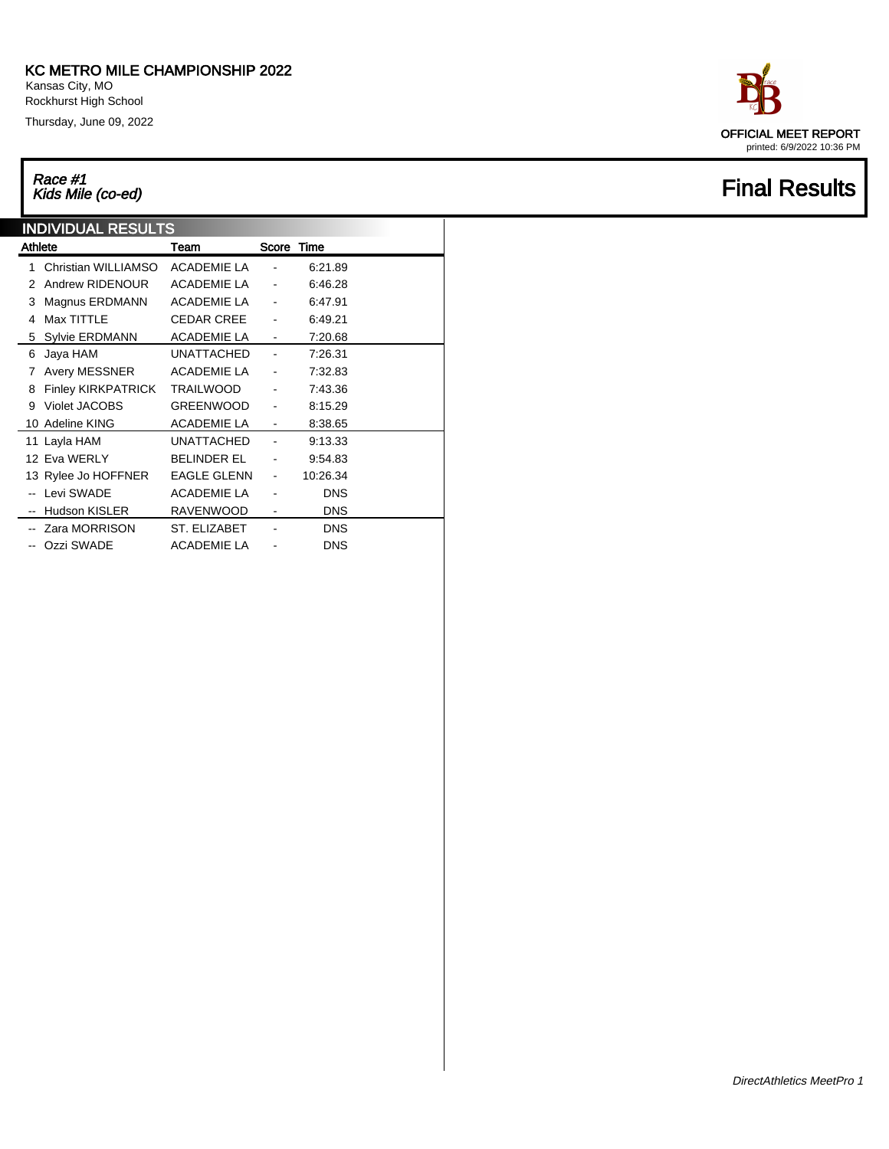Kansas City, MO Rockhurst High School

Thursday, June 09, 2022

# Race #1<br>Kids Mile (co-ed)

|         | <b>INDIVIDUAL RESULTS</b> |                    |                          |            |  |  |  |  |
|---------|---------------------------|--------------------|--------------------------|------------|--|--|--|--|
| Athlete |                           | Team               | Score Time               |            |  |  |  |  |
| 1       | Christian WILLIAMSO       | <b>ACADEMIE LA</b> |                          | 6:21.89    |  |  |  |  |
| 2       | Andrew RIDENOUR           | <b>ACADEMIE LA</b> |                          | 6.46.28    |  |  |  |  |
| 3       | Magnus ERDMANN            | <b>ACADEMIE LA</b> |                          | 6:47.91    |  |  |  |  |
| 4       | Max TITTLE                | <b>CEDAR CREE</b>  |                          | 6:49.21    |  |  |  |  |
| 5       | Sylvie ERDMANN            | ACADEMIE LA        | -                        | 7:20.68    |  |  |  |  |
| 6       | Jaya HAM                  | UNATTACHED         |                          | 7:26.31    |  |  |  |  |
| 7       | Avery MESSNER             | ACADEMIE LA        |                          | 7:32.83    |  |  |  |  |
| 8       | <b>Finley KIRKPATRICK</b> | <b>TRAILWOOD</b>   |                          | 7:43.36    |  |  |  |  |
| 9       | <b>Violet JACOBS</b>      | GREENWOOD          |                          | 8:15.29    |  |  |  |  |
|         | 10 Adeline KING           | ACADEMIE LA        |                          | 8:38.65    |  |  |  |  |
|         | 11 Layla HAM              | UNATTACHED         |                          | 9.13.33    |  |  |  |  |
|         | 12 Eva WERLY              | <b>BELINDER EL</b> |                          | 9.54.83    |  |  |  |  |
|         | 13 Rylee Jo HOFFNER       | <b>EAGLE GLENN</b> | $\overline{\phantom{0}}$ | 10:26.34   |  |  |  |  |
|         | Levi SWADE                | <b>ACADEMIE LA</b> |                          | <b>DNS</b> |  |  |  |  |
|         | Hudson KISLER             | RAVENWOOD          |                          | <b>DNS</b> |  |  |  |  |
|         | Zara MORRISON             | ST. ELIZABET       |                          | <b>DNS</b> |  |  |  |  |
|         | Ozzi SWADE                | <b>ACADEMIE LA</b> |                          | <b>DNS</b> |  |  |  |  |

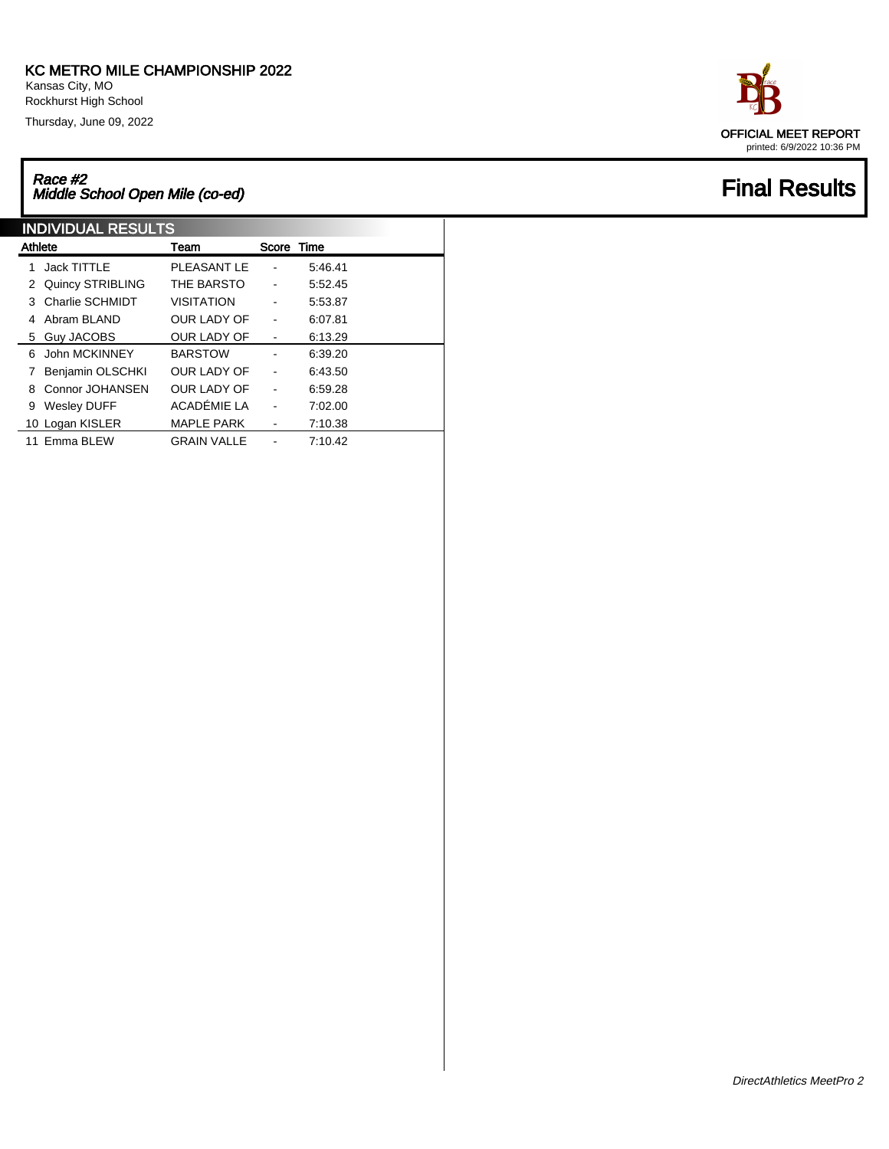Kansas City, MO Rockhurst High School

Thursday, June 09, 2022

## Race #2<br>Middle School Open Mile (co-ed) Final Results

|                | <b>INDIVIDUAL RESULTS</b> |                    |       |         |  |  |  |  |
|----------------|---------------------------|--------------------|-------|---------|--|--|--|--|
| <b>Athlete</b> |                           | Team               | Score | Time    |  |  |  |  |
| 1              | <b>Jack TITTLE</b>        | <b>PLEASANT LE</b> |       | 5.46.41 |  |  |  |  |
|                | 2 Quincy STRIBLING        | THE BARSTO         |       | 5:52.45 |  |  |  |  |
| 3              | Charlie SCHMIDT           | <b>VISITATION</b>  | -     | 5:53.87 |  |  |  |  |
| 4              | Abram BLAND               | OUR LADY OF        |       | 6:07.81 |  |  |  |  |
|                | 5 Guy JACOBS              | OUR LADY OF        |       | 6:13.29 |  |  |  |  |
| 6              | John MCKINNEY             | <b>BARSTOW</b>     |       | 6:39.20 |  |  |  |  |
| 7              | Benjamin OLSCHKI          | <b>OUR LADY OF</b> |       | 6.43.50 |  |  |  |  |
| 8              | Connor JOHANSEN           | <b>OUR LADY OF</b> |       | 6:59.28 |  |  |  |  |
| 9              | <b>Wesley DUFF</b>        | ACADÉMIE LA        |       | 7:02.00 |  |  |  |  |
|                | 10 Logan KISLER           | <b>MAPLE PARK</b>  |       | 7:10.38 |  |  |  |  |
|                | 11 Emma BLEW              | <b>GRAIN VALLE</b> |       | 7:10.42 |  |  |  |  |

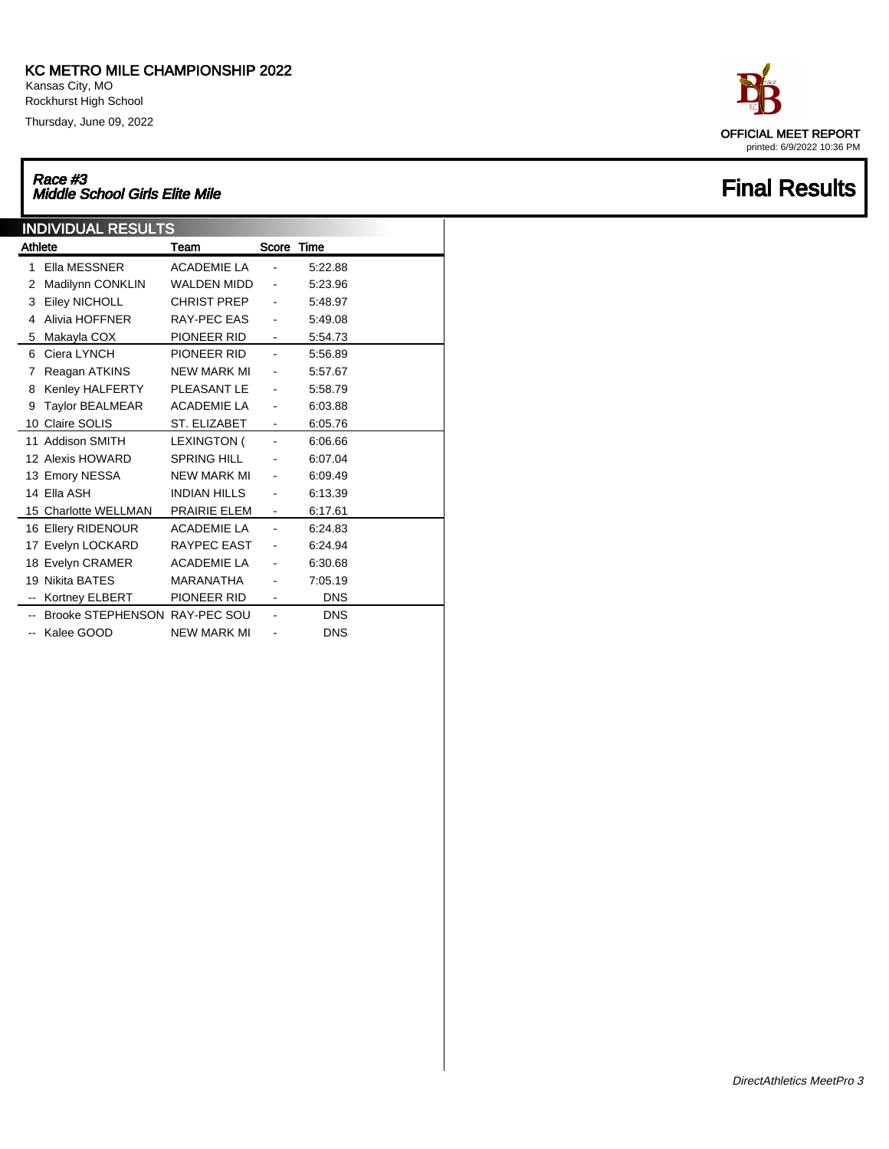Kansas City, MO Rockhurst High School

Thursday, June 09, 2022

## Race #3<br>Middle School Girls Elite Mile **Final Results**

| <b>INDIVIDUAL RESULTS</b> |                               |                     |                          |            |  |  |  |
|---------------------------|-------------------------------|---------------------|--------------------------|------------|--|--|--|
| Athlete                   |                               | Team                | Score Time               |            |  |  |  |
| 1                         | Ella MESSNER                  | <b>ACADEMIE LA</b>  |                          | 5:22.88    |  |  |  |
| 2                         | Madilynn CONKLIN              | <b>WALDEN MIDD</b>  |                          | 5:23.96    |  |  |  |
| 3                         | Eiley NICHOLL                 | <b>CHRIST PREP</b>  | -                        | 5:48.97    |  |  |  |
| 4                         | Alivia HOFFNER                | RAY-PEC EAS         |                          | 5:49.08    |  |  |  |
| 5                         | Makayla COX                   | PIONEER RID         | ۰                        | 5:54.73    |  |  |  |
| 6                         | Ciera LYNCH                   | PIONEER RID         |                          | 5:56.89    |  |  |  |
| 7                         | Reagan ATKINS                 | <b>NEW MARK MI</b>  |                          | 5:57.67    |  |  |  |
| 8                         | Kenley HALFERTY               | <b>PLEASANT LE</b>  | $\overline{a}$           | 5:58.79    |  |  |  |
| 9                         | Taylor BEALMEAR               | <b>ACADEMIE LA</b>  | $\overline{\phantom{0}}$ | 6:03.88    |  |  |  |
|                           | 10 Claire SOLIS               | ST. ELIZABET        | $\blacksquare$           | 6:05.76    |  |  |  |
|                           | 11 Addison SMITH              | <b>LEXINGTON (</b>  | $\blacksquare$           | 6:06.66    |  |  |  |
|                           | 12 Alexis HOWARD              | <b>SPRING HILL</b>  | $\overline{\phantom{0}}$ | 6:07.04    |  |  |  |
|                           | 13 Emory NESSA                | <b>NEW MARK MI</b>  |                          | 6:09.49    |  |  |  |
|                           | 14 Ella ASH                   | <b>INDIAN HILLS</b> |                          | 6:13.39    |  |  |  |
|                           | 15 Charlotte WELLMAN          | PRAIRIE ELEM        |                          | 6:17.61    |  |  |  |
|                           | 16 Ellery RIDENOUR            | ACADEMIE LA         |                          | 6:24.83    |  |  |  |
|                           | 17 Evelyn LOCKARD             | RAYPEC EAST         |                          | 6:24.94    |  |  |  |
|                           | 18 Evelyn CRAMER              | <b>ACADEMIE LA</b>  |                          | 6:30.68    |  |  |  |
|                           | 19 Nikita BATES               | MARANATHA           |                          | 7:05.19    |  |  |  |
| $\overline{\phantom{a}}$  | Kortney ELBERT                | PIONEER RID         |                          | <b>DNS</b> |  |  |  |
|                           | Brooke STEPHENSON RAY-PEC SOU |                     |                          | <b>DNS</b> |  |  |  |
|                           | -- Kalee GOOD                 | <b>NEW MARK MI</b>  |                          | <b>DNS</b> |  |  |  |

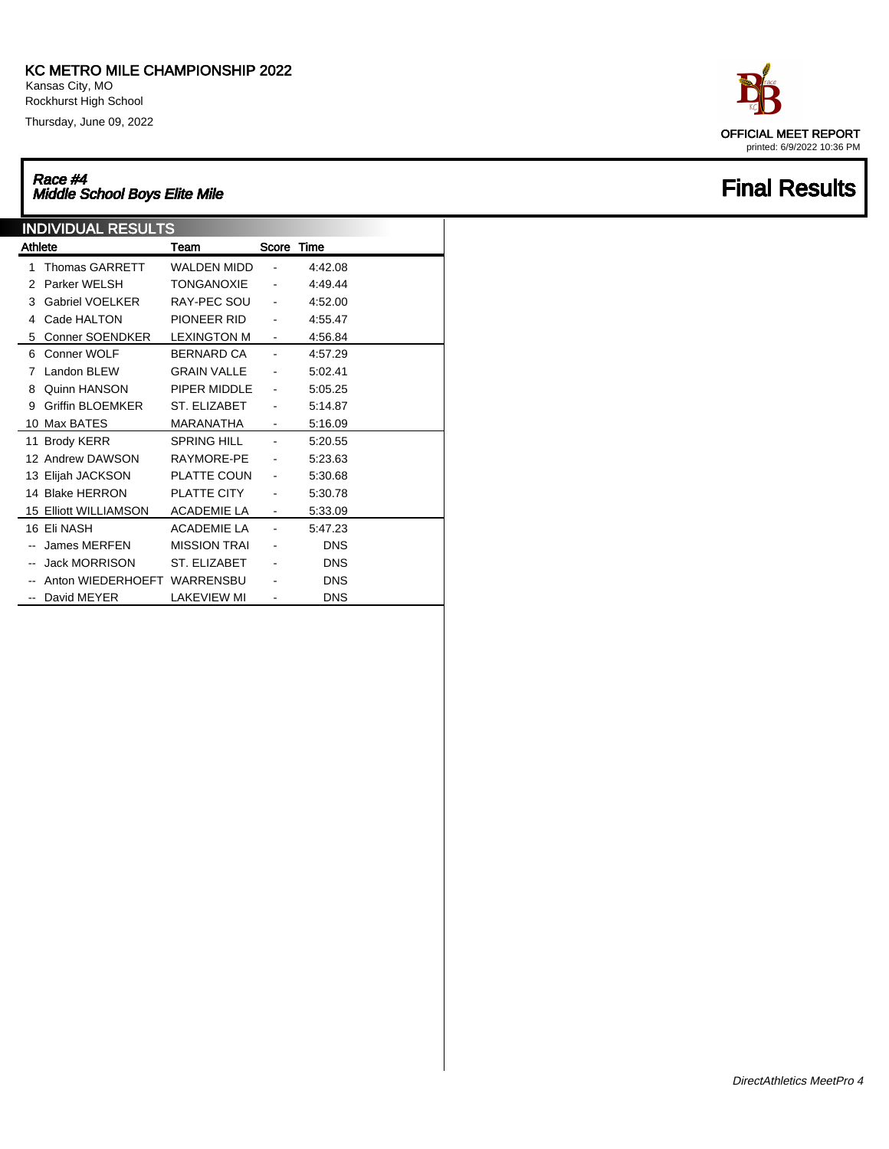Kansas City, MO Rockhurst High School

Thursday, June 09, 2022

# Race #4<br>Middle School Boys Elite Mile **Final Results**

| <b>INDIVIDUAL RESULTS</b> |                             |                     |                |            |  |  |
|---------------------------|-----------------------------|---------------------|----------------|------------|--|--|
| <b>Athlete</b>            |                             | Team                | Score Time     |            |  |  |
| 1                         | <b>Thomas GARRETT</b>       | <b>WALDEN MIDD</b>  |                | 4:42.08    |  |  |
| 2                         | Parker WELSH                | TONGANOXIE          |                | 4:49.44    |  |  |
| 3                         | <b>Gabriel VOELKER</b>      | RAY-PEC SOU         | $\blacksquare$ | 4:52.00    |  |  |
| 4                         | Cade HALTON                 | PIONEER RID         |                | 4:55.47    |  |  |
| 5                         | Conner SOENDKER             | <b>LEXINGTON M</b>  | $\blacksquare$ | 4:56.84    |  |  |
| 6                         | Conner WOLF                 | <b>BERNARD CA</b>   |                | 4:57.29    |  |  |
| 7                         | Landon BLEW                 | <b>GRAIN VALLE</b>  |                | 5:02.41    |  |  |
| 8                         | Quinn HANSON                | PIPER MIDDLE        |                | 5:05.25    |  |  |
| 9                         | Griffin BLOEMKER            | ST. ELIZABET        |                | 5:14.87    |  |  |
|                           | 10 Max BATES                | <b>MARANATHA</b>    |                | 5:16.09    |  |  |
|                           | 11 Brody KERR               | <b>SPRING HILL</b>  |                | 5:20.55    |  |  |
|                           | 12 Andrew DAWSON            | RAYMORE-PE          |                | 5:23.63    |  |  |
|                           | 13 Elijah JACKSON           | <b>PLATTE COUN</b>  |                | 5:30.68    |  |  |
|                           | 14 Blake HERRON             | <b>PLATTE CITY</b>  |                | 5:30.78    |  |  |
|                           | 15 Elliott WILLIAMSON       | ACADEMIE LA         | $\blacksquare$ | 5:33.09    |  |  |
|                           | 16 Eli NASH                 | <b>ACADEMIE LA</b>  |                | 5:47.23    |  |  |
|                           | James MERFEN                | <b>MISSION TRAI</b> |                | <b>DNS</b> |  |  |
| $\overline{\phantom{a}}$  | <b>Jack MORRISON</b>        | <b>ST. ELIZABET</b> |                | <b>DNS</b> |  |  |
| --                        | Anton WIEDERHOEFT WARRENSBU |                     |                | <b>DNS</b> |  |  |
| --                        | David MEYER                 | <b>LAKEVIEW MI</b>  |                | <b>DNS</b> |  |  |

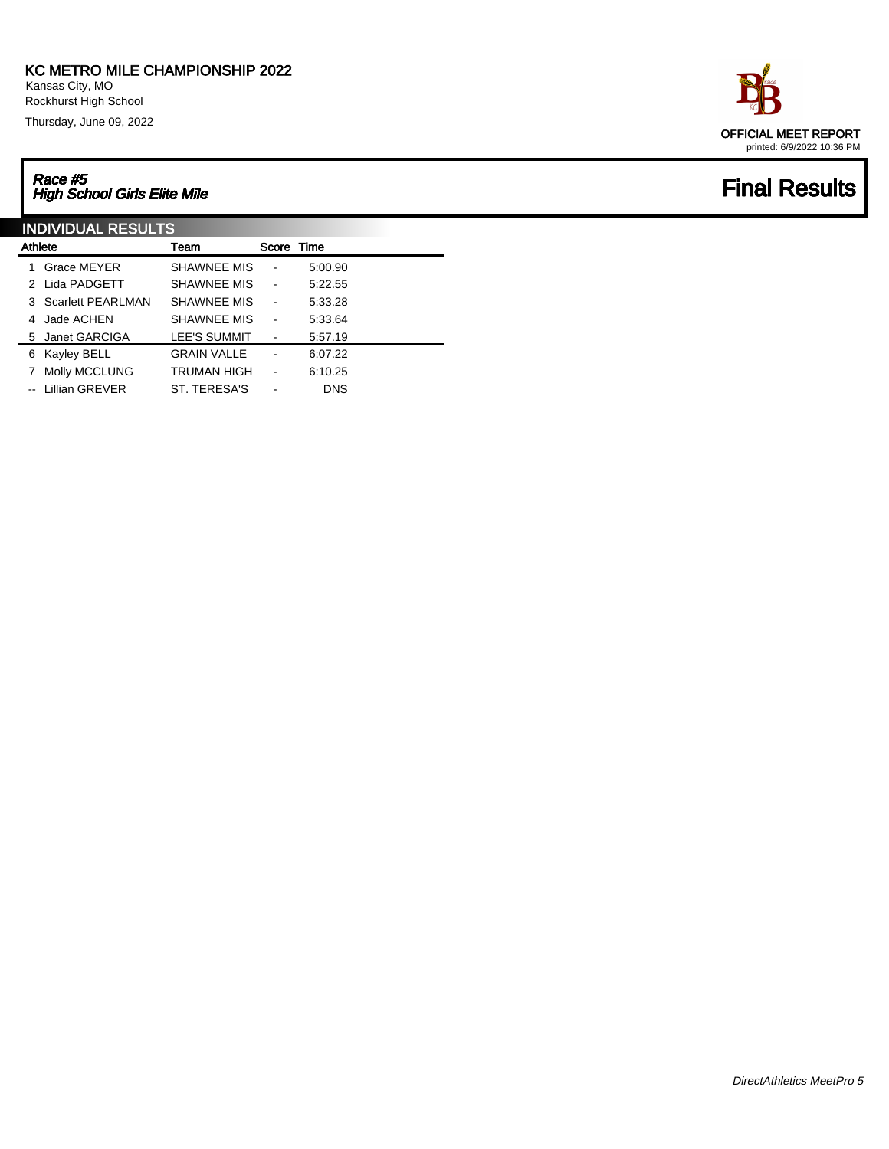Kansas City, MO Rockhurst High School

Thursday, June 09, 2022

# Race #5<br>High School Girls Elite Mile **Final Results**

|         | <b>INDIVIDUAL RESULTS</b> |                    |            |            |  |  |  |  |  |
|---------|---------------------------|--------------------|------------|------------|--|--|--|--|--|
| Athlete |                           | Team               | Score Time |            |  |  |  |  |  |
| 1       | Grace MEYER               | <b>SHAWNEE MIS</b> |            | 5:00.90    |  |  |  |  |  |
|         | 2 Lida PADGETT            | <b>SHAWNEE MIS</b> |            | 5:22.55    |  |  |  |  |  |
|         | 3 Scarlett PEARLMAN       | <b>SHAWNEE MIS</b> |            | 5:33.28    |  |  |  |  |  |
|         | 4 Jade ACHEN              | <b>SHAWNEE MIS</b> |            | 5:33.64    |  |  |  |  |  |
|         | 5 Janet GARCIGA           | LEE'S SUMMIT       |            | 5:57.19    |  |  |  |  |  |
| 6       | Kayley BELL               | <b>GRAIN VALLE</b> |            | 6:07.22    |  |  |  |  |  |
|         | Molly MCCLUNG             | <b>TRUMAN HIGH</b> |            | 6:10.25    |  |  |  |  |  |
|         | -- Lillian GREVER         | ST. TERESA'S       |            | <b>DNS</b> |  |  |  |  |  |
|         |                           |                    |            |            |  |  |  |  |  |

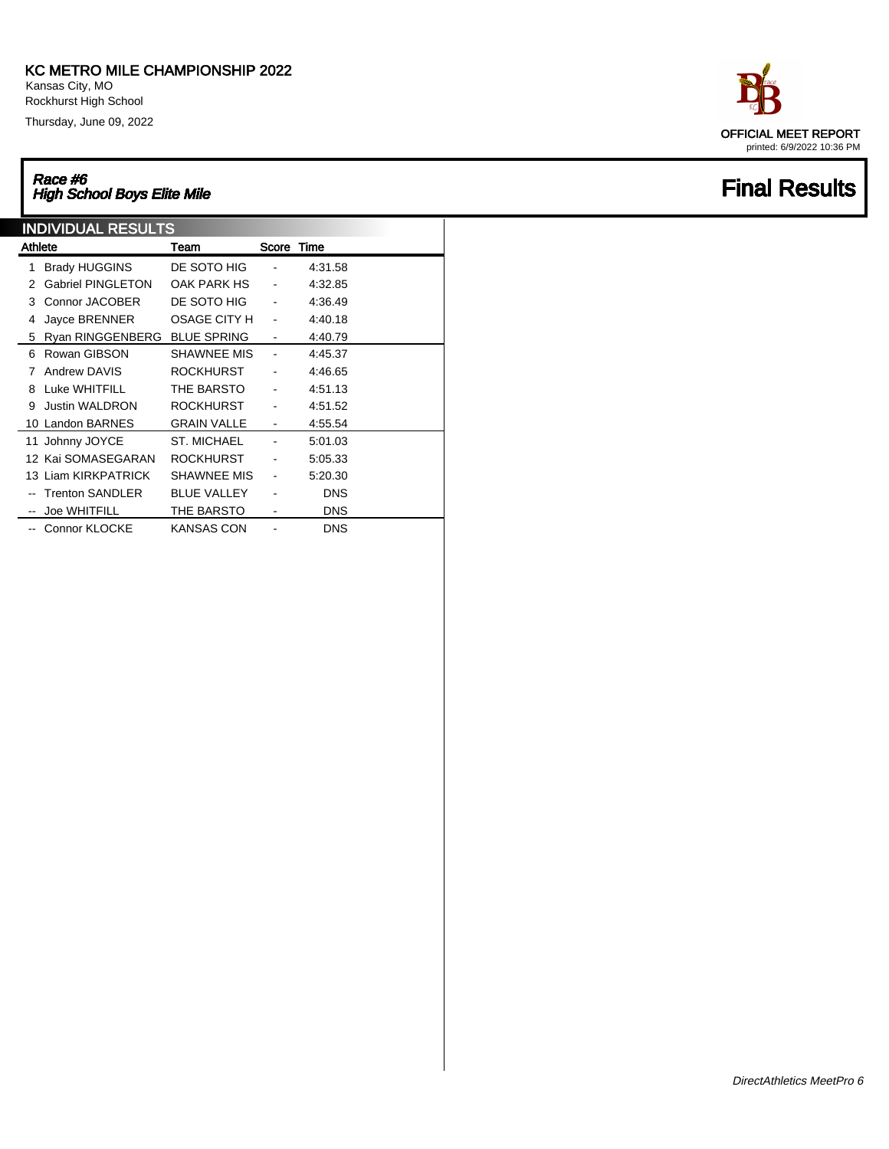Kansas City, MO Rockhurst High School

Thursday, June 09, 2022

# Race #6<br>High School Boys Elite Mile Final Results Final Results

| <b>INDIVIDUAL RESULTS</b> |                          |                     |                          |            |  |  |
|---------------------------|--------------------------|---------------------|--------------------------|------------|--|--|
| Athlete                   |                          | Team                | Score                    | Time       |  |  |
| 1                         | <b>Brady HUGGINS</b>     | DE SOTO HIG         |                          | 4:31.58    |  |  |
| 2                         | <b>Gabriel PINGLETON</b> | OAK PARK HS         |                          | 4:32.85    |  |  |
| 3                         | Connor JACOBER           | DE SOTO HIG         |                          | 4:36.49    |  |  |
| 4                         | Jayce BRENNER            | <b>OSAGE CITY H</b> |                          | 4:40.18    |  |  |
| 5                         | Ryan RINGGENBERG         | <b>BLUE SPRING</b>  | $\overline{\phantom{0}}$ | 4:40.79    |  |  |
| 6                         | Rowan GIBSON             | SHAWNEE MIS         |                          | 4:45.37    |  |  |
| 7                         | Andrew DAVIS             | <b>ROCKHURST</b>    |                          | 4:46.65    |  |  |
| 8                         | Luke WHITFILL            | THE BARSTO          |                          | 4.51.13    |  |  |
| 9                         | <b>Justin WALDRON</b>    | <b>ROCKHURST</b>    |                          | 4:51.52    |  |  |
|                           | 10 Landon BARNES         | <b>GRAIN VALLE</b>  |                          | 4:55.54    |  |  |
|                           | 11 Johnny JOYCE          | <b>ST. MICHAEL</b>  |                          | 5:01.03    |  |  |
|                           | 12 Kai SOMASEGARAN       | <b>ROCKHURST</b>    |                          | 5:05.33    |  |  |
|                           | 13 Liam KIRKPATRICK      | <b>SHAWNEE MIS</b>  |                          | 5.20.30    |  |  |
|                           | <b>Trenton SANDLER</b>   | <b>BLUE VALLEY</b>  |                          | <b>DNS</b> |  |  |
| $- -$                     | Joe WHITFILL             | THE BARSTO          |                          | <b>DNS</b> |  |  |
| $-1$                      | <b>Connor KLOCKE</b>     | <b>KANSAS CON</b>   |                          | <b>DNS</b> |  |  |

OFFICIAL MEET REPORT printed: 6/9/2022 10:36 PM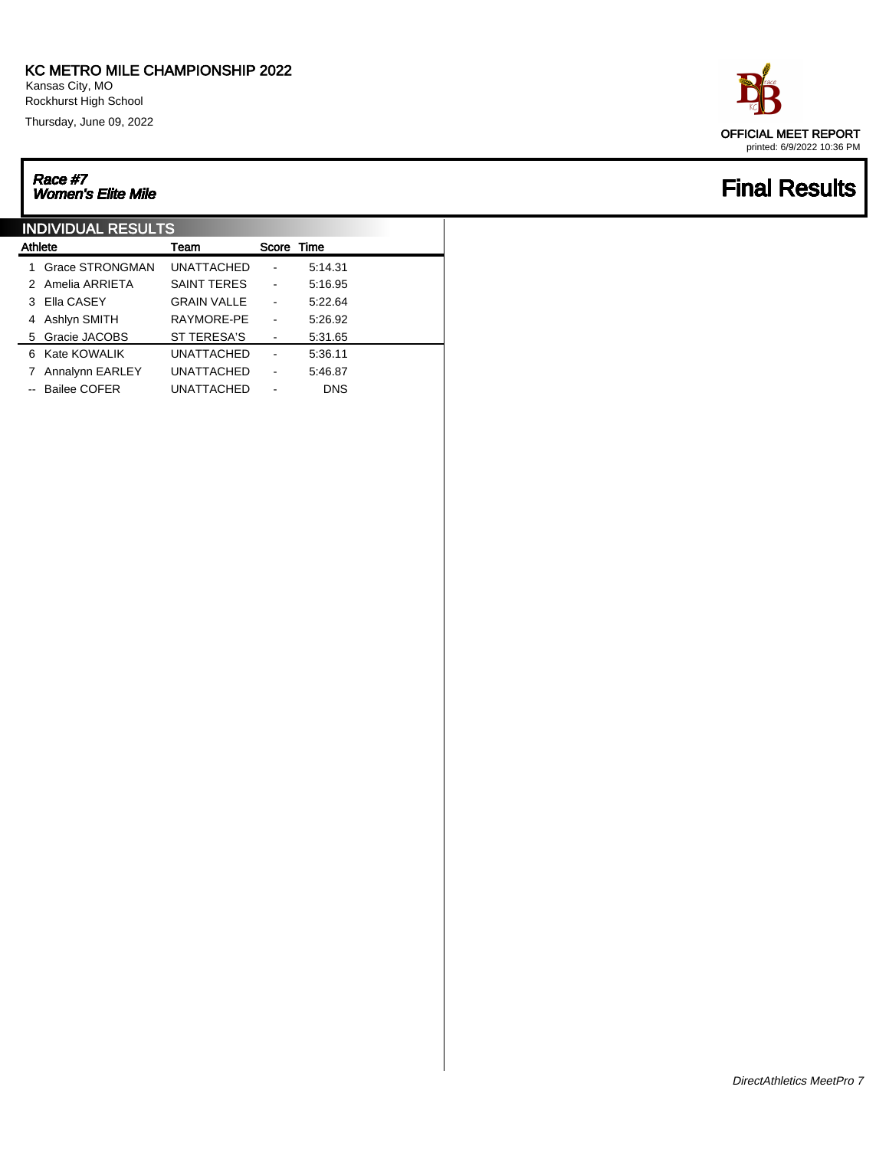Kansas City, MO Rockhurst High School

Thursday, June 09, 2022

# Race #7<br>Women's Elite Mile

|         | <b>INDIVIDUAL RESULTS</b> |                    |            |            |  |  |  |  |
|---------|---------------------------|--------------------|------------|------------|--|--|--|--|
| Athlete |                           | Team               | Score Time |            |  |  |  |  |
| 1.      | Grace STRONGMAN           | <b>UNATTACHED</b>  |            | 5:14.31    |  |  |  |  |
|         | 2 Amelia ARRIETA          | <b>SAINT TERES</b> |            | 5:16.95    |  |  |  |  |
|         | 3 Ella CASEY              | <b>GRAIN VALLE</b> |            | 5:22.64    |  |  |  |  |
|         | 4 Ashlyn SMITH            | RAYMORE-PE         |            | 5.26.92    |  |  |  |  |
|         | 5 Gracie JACOBS           | ST TERESA'S        |            | 5.31.65    |  |  |  |  |
|         | 6 Kate KOWALIK            | <b>UNATTACHED</b>  |            | 5:36.11    |  |  |  |  |
|         | Annalynn EARLEY           | <b>UNATTACHED</b>  |            | 5:46.87    |  |  |  |  |
|         | Bailee COFER              | <b>UNATTACHED</b>  |            | <b>DNS</b> |  |  |  |  |

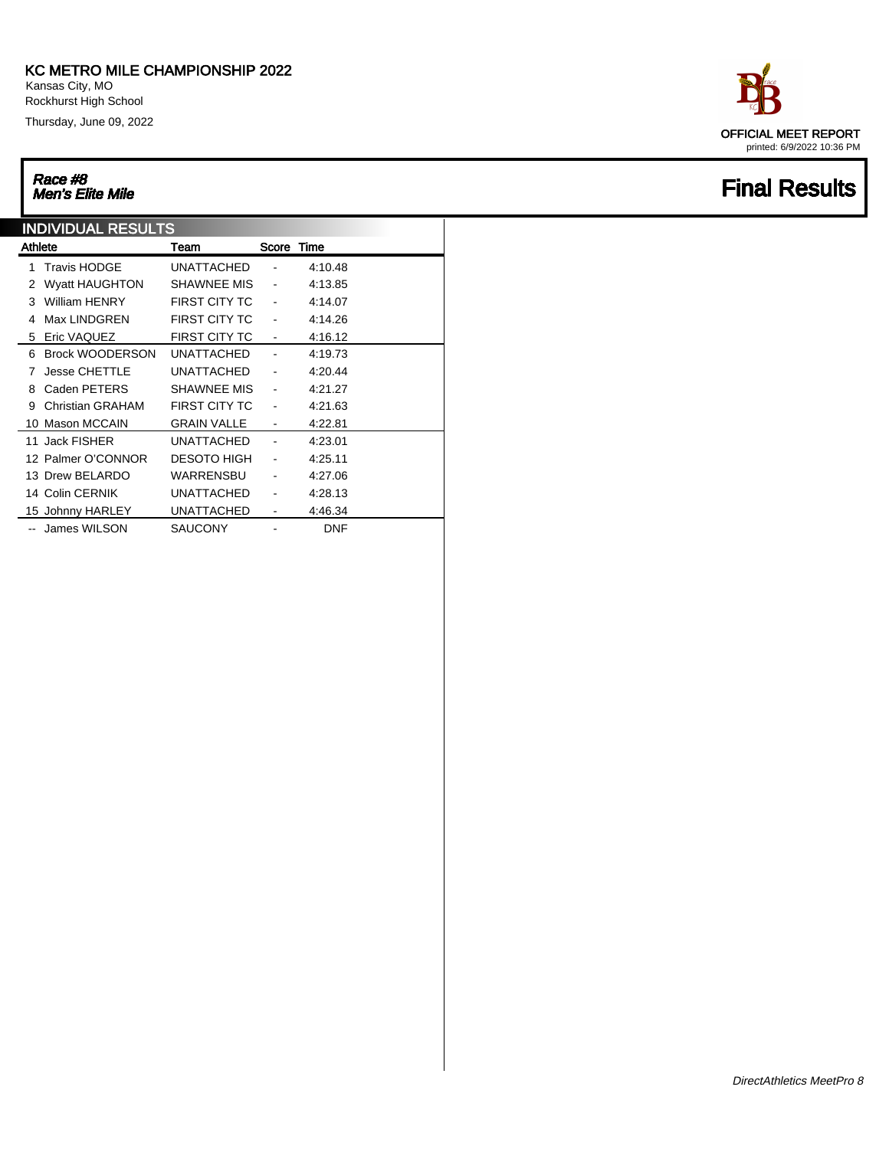Kansas City, MO Rockhurst High School

Thursday, June 09, 2022

# Race #8<br>Men's Elite Mile

| <b>INDIVIDUAL RESULTS</b> |         |                        |                      |                |            |  |  |
|---------------------------|---------|------------------------|----------------------|----------------|------------|--|--|
|                           | Athlete |                        | Team                 | Score          | Time       |  |  |
|                           | 1       | <b>Travis HODGE</b>    | <b>UNATTACHED</b>    |                | 4:10.48    |  |  |
|                           | 2       | <b>Wyatt HAUGHTON</b>  | SHAWNEE MIS          | $\blacksquare$ | 4:13.85    |  |  |
|                           | 3       | William HENRY          | <b>FIRST CITY TC</b> |                | 4:14.07    |  |  |
|                           |         | Max LINDGREN           | <b>FIRST CITY TC</b> |                | 4:14.26    |  |  |
|                           | 5       | Eric VAQUEZ            | <b>FIRST CITY TC</b> |                | 4:16.12    |  |  |
|                           | 6       | <b>Brock WOODERSON</b> | UNATTACHED           |                | 4:19.73    |  |  |
|                           | 7       | <b>Jesse CHETTLE</b>   | <b>UNATTACHED</b>    |                | 4.20.44    |  |  |
|                           | 8       | Caden PETERS           | SHAWNEE MIS          |                | 4:21.27    |  |  |
|                           | 9       | Christian GRAHAM       | <b>FIRST CITY TC</b> |                | 4.21.63    |  |  |
|                           |         | 10 Mason MCCAIN        | <b>GRAIN VALLE</b>   |                | 4:22.81    |  |  |
|                           |         | 11 Jack FISHER         | <b>UNATTACHED</b>    |                | 4:23.01    |  |  |
|                           |         | 12 Palmer O'CONNOR     | <b>DESOTO HIGH</b>   |                | 4:25.11    |  |  |
|                           |         | 13 Drew BELARDO        | WARRENSBU            |                | 4.27.06    |  |  |
|                           |         | 14 Colin CERNIK        | UNATTACHED           |                | 4.28.13    |  |  |
|                           |         | 15 Johnny HARLEY       | <b>UNATTACHED</b>    | $\overline{a}$ | 4:46.34    |  |  |
|                           |         | James WILSON           | SAUCONY              |                | <b>DNF</b> |  |  |

OFFICIAL MEET REPORT printed: 6/9/2022 10:36 PM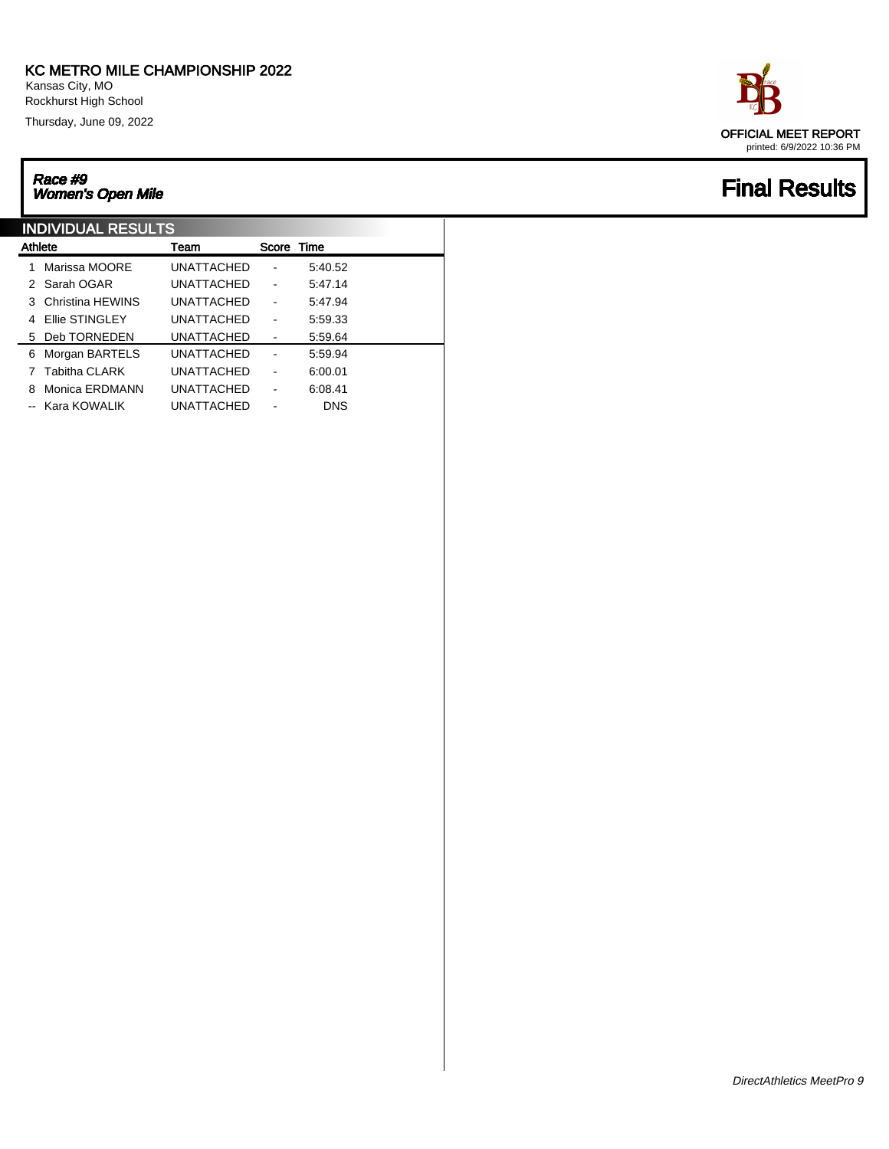Kansas City, MO Rockhurst High School

Thursday, June 09, 2022

## Race #9 Women's Open Mile Final Results

| <b>INDIVIDUAL RESULTS</b> |                                                                                                   |  |            |            |  |  |  |
|---------------------------|---------------------------------------------------------------------------------------------------|--|------------|------------|--|--|--|
|                           | Team                                                                                              |  |            |            |  |  |  |
| Marissa MOORE             | <b>UNATTACHED</b>                                                                                 |  | 5:40.52    |            |  |  |  |
|                           | <b>UNATTACHED</b>                                                                                 |  | 5:47.14    |            |  |  |  |
|                           | <b>UNATTACHED</b>                                                                                 |  | 5.47.94    |            |  |  |  |
|                           | <b>UNATTACHED</b>                                                                                 |  | 5:59.33    |            |  |  |  |
|                           | <b>UNATTACHED</b>                                                                                 |  | 5:59.64    |            |  |  |  |
| Morgan BARTELS            | <b>UNATTACHED</b>                                                                                 |  | 5.59.94    |            |  |  |  |
| <b>Tabitha CLARK</b>      | <b>UNATTACHED</b>                                                                                 |  | 6:00.01    |            |  |  |  |
| Monica ERDMANN            | <b>UNATTACHED</b>                                                                                 |  | 6:08.41    |            |  |  |  |
|                           | UNATTACHED                                                                                        |  | <b>DNS</b> |            |  |  |  |
|                           | Athlete<br>2 Sarah OGAR<br>3 Christina HEWINS<br>Ellie STINGLEY<br>5 Deb TORNEDEN<br>Kara KOWALIK |  |            | Score Time |  |  |  |

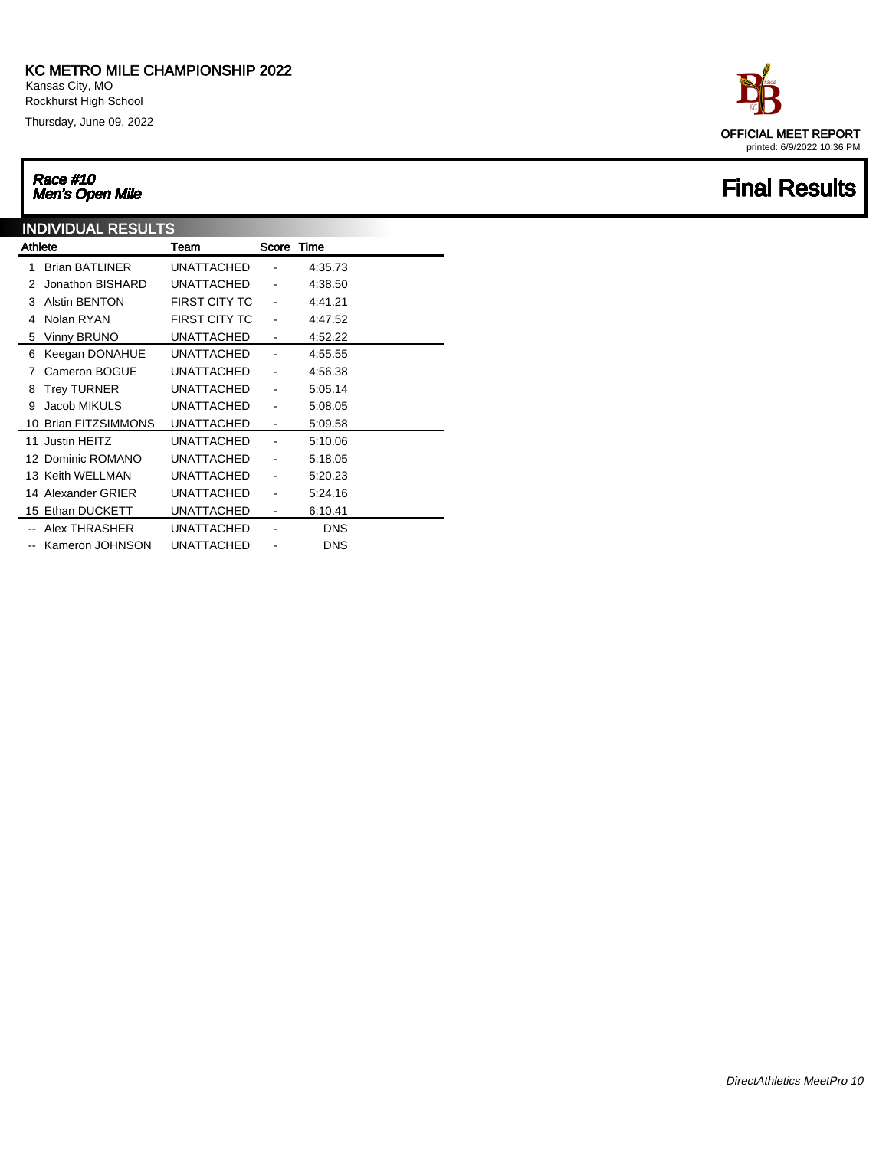Kansas City, MO Rockhurst High School

Thursday, June 09, 2022

# Race #10<br>Men's Open Mile

| <b>INDIVIDUAL RESULTS</b> |                       |                      |                |            |  |  |
|---------------------------|-----------------------|----------------------|----------------|------------|--|--|
| Athlete                   |                       | Team                 | Score Time     |            |  |  |
| 1                         | <b>Brian BATLINER</b> | <b>UNATTACHED</b>    |                | 4:35.73    |  |  |
| 2                         | Jonathon BISHARD      | <b>UNATTACHED</b>    |                | 4:38.50    |  |  |
| 3                         | <b>Alstin BENTON</b>  | <b>FIRST CITY TC</b> |                | 4:41.21    |  |  |
| 4                         | Nolan RYAN            | <b>FIRST CITY TC</b> |                | 4:47.52    |  |  |
| 5                         | <b>Vinny BRUNO</b>    | UNATTACHED           | -              | 4:52.22    |  |  |
| 6                         | Keegan DONAHUE        | UNATTACHED           |                | 4:55.55    |  |  |
| 7                         | Cameron BOGUE         | UNATTACHED           |                | 4:56.38    |  |  |
| 8                         | <b>Trey TURNER</b>    | UNATTACHED           |                | 5:05.14    |  |  |
| 9                         | Jacob MIKULS          | <b>UNATTACHED</b>    |                | 5:08.05    |  |  |
|                           | 10 Brian FITZSIMMONS  | <b>UNATTACHED</b>    |                | 5:09.58    |  |  |
|                           | 11 Justin HEITZ       | UNATTACHED           |                | 5.10.06    |  |  |
|                           | 12 Dominic ROMANO     | <b>UNATTACHED</b>    |                | 5:18.05    |  |  |
|                           | 13 Keith WELLMAN      | <b>UNATTACHED</b>    |                | 5.20.23    |  |  |
|                           | 14 Alexander GRIER    | <b>UNATTACHED</b>    |                | 5.24.16    |  |  |
|                           | 15 Ethan DUCKETT      | <b>UNATTACHED</b>    | $\overline{a}$ | 6:10.41    |  |  |
|                           | Alex THRASHER         | <b>UNATTACHED</b>    |                | <b>DNS</b> |  |  |
|                           | Kameron JOHNSON       | <b>UNATTACHED</b>    |                | DNS        |  |  |

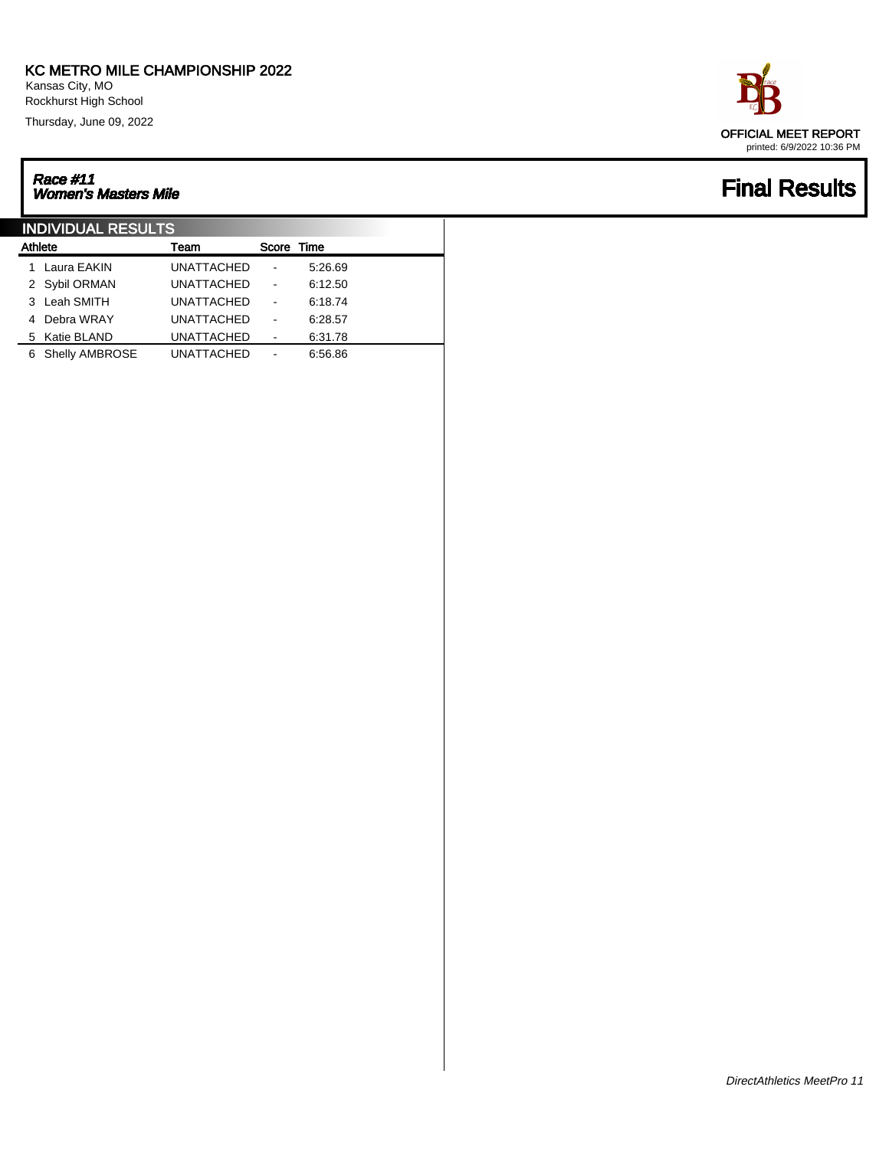Kansas City, MO Rockhurst High School

Thursday, June 09, 2022

# Race #11 Women's Masters Mile Final Results

| <b>INDIVIDUAL RESULTS</b> |                       |                   |                          |         |  |  |  |
|---------------------------|-----------------------|-------------------|--------------------------|---------|--|--|--|
|                           | Athlete               | Team              | Score Time               |         |  |  |  |
|                           | Laura EAKIN           | <b>UNATTACHED</b> |                          | 5.26.69 |  |  |  |
|                           | 2 Sybil ORMAN         | <b>UNATTACHED</b> | $\overline{\phantom{a}}$ | 6:12.50 |  |  |  |
|                           | 3 Leah SMITH          | UNATTACHED        | $\overline{\phantom{a}}$ | 6:18.74 |  |  |  |
|                           | Debra WRAY            | <b>UNATTACHED</b> | -                        | 6.28.57 |  |  |  |
|                           | 5 Katie BLAND         | <b>UNATTACHED</b> |                          | 6:31.78 |  |  |  |
| 6.                        | <b>Shelly AMBROSE</b> | <b>UNATTACHED</b> |                          | 6.56.86 |  |  |  |